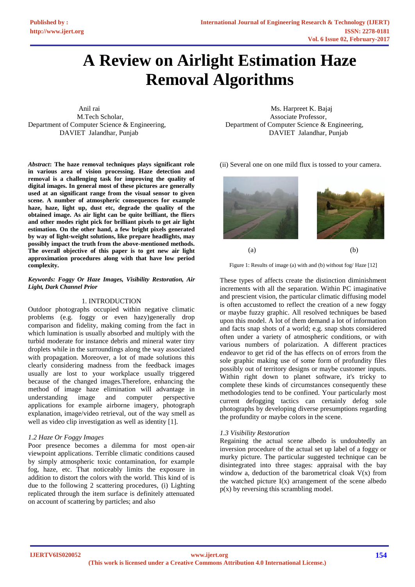# **A Review on Airlight Estimation Haze Removal Algorithms**

Department of Computer Science & Engineering, Department of Computer Science & Engineering,

*Abstract***: The haze removal techniques plays significant role in various area of vision processing. Haze detection and removal is a challenging task for improving the quality of digital images. In general most of these pictures are generally used at an significant range from the visual sensor to given scene. A number of atmospheric consequences for example haze, haze, light up, dust etc, degrade the quality of the obtained image. As air light can be quite brilliant, the fliers and other modes right pick for brilliant pixels to get air light estimation. On the other hand, a few bright pixels generated by way of light-weight solutions, like prepare headlights, may possibly impact the truth from the above-mentioned methods. The overall objective of this paper is to get new air light approximation procedures along with that have low period complexity.**

#### *Keywords: Foggy Or Haze Images, Visibility Restoration, Air Light, Dark Channel Prior*

#### 1. INTRODUCTION

Outdoor photographs occupied within negative climatic problems (e.g. foggy or even hazy)generally drop comparison and fidelity, making coming from the fact in which lumination is usually absorbed and multiply with the turbid moderate for instance debris and mineral water tiny droplets while in the surroundings along the way associated with propagation. Moreover, a lot of made solutions this clearly considering madness from the feedback images usually are lost to your workplace usually triggered because of the changed images.Therefore, enhancing the method of image haze elimination will advantage in understanding image and computer perspective applications for example airborne imagery, photograph explanation, image/video retrieval, out of the way smell as well as video clip investigation as well as identity [1].

#### *1.2 Haze Or Foggy Images*

Poor presence becomes a dilemma for most open-air viewpoint applications. Terrible climatic conditions caused by simply atmospheric toxic contamination, for example fog, haze, etc. That noticeably limits the exposure in addition to distort the colors with the world. This kind of is due to the following 2 scattering procedures, (i) Lighting replicated through the item surface is definitely attenuated on account of scattering by particles; and also

Anil rai **Ms. Harpreet K. Bajaj Ms.** Harpreet K. Bajaj M.Tech Scholar, Associate Professor, DAVIET Jalandhar, Punjab DAVIET Jalandhar, Punjab

(ii) Several one on one mild flux is tossed to your camera.



Figure 1: Results of image (a) with and (b) without fog/ Haze [12]

These types of affects create the distinction diminishment increments with all the separation. Within PC imaginative and prescient vision, the particular climatic diffusing model is often accustomed to reflect the creation of a new foggy or maybe fuzzy graphic. All resolved techniques be based upon this model. A lot of them demand a lot of information and facts snap shots of a world; e.g. snap shots considered often under a variety of atmospheric conditions, or with various numbers of polarization. A different practices endeavor to get rid of the has effects on of errors from the sole graphic making use of some form of profundity files possibly out of territory designs or maybe customer inputs. Within right down to planet software, it's tricky to complete these kinds of circumstances consequently these methodologies tend to be confined. Your particularly most current defogging tactics can certainly defog sole photographs by developing diverse presumptions regarding the profundity or maybe colors in the scene.

# *1.3 Visibility Restoration*

Regaining the actual scene albedo is undoubtedly an inversion procedure of the actual set up label of a foggy or murky picture. The particular suggested technique can be disintegrated into three stages: appraisal with the bay window a, deduction of the barometrical cloak  $V(x)$  from the watched picture  $I(x)$  arrangement of the scene albedo p(x) by reversing this scrambling model.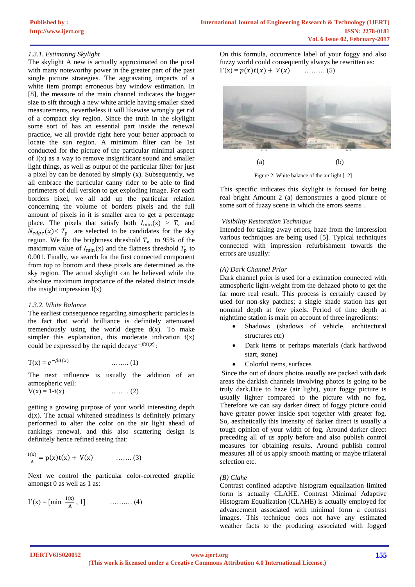## *1.3.1. Estimating Skylight*

The skylight A new is actually approximated on the pixel with many noteworthy power in the greater part of the past single picture strategies. The aggravating impacts of a white item prompt erroneous bay window estimation. In [8], the measure of the main channel indicates the bigger size to sift through a new white article having smaller sized measurements, nevertheless it will likewise wrongly get rid of a compact sky region. Since the truth in the skylight some sort of has an essential part inside the renewal practice, we all provide right here your better approach to locate the sun region. A minimum filter can be 1st conducted for the picture of the particular minimal aspect of  $I(x)$  as a way to remove insignificant sound and smaller light things, as well as output of the particular filter for just a pixel by can be denoted by simply (x). Subsequently, we all embrace the particular canny rider to be able to find perimeters of dull version to get exploding image. For each borders pixel, we all add up the particular relation concerning the volume of borders pixels and the full amount of pixels in it is smaller area to get a percentage place. The pixels that satisfy both  $I_{\text{min}}(x) > T_v$  and  $N_{edge}(x) < T_p$  are selected to be candidates for the sky region. We fix the brightness threshold  $T_v$  to 95% of the maximum value of  $I_{\text{min}}(x)$  and the flatness threshold  $T_{\text{n}}$  to 0.001. Finally, we search for the first connected component from top to bottom and these pixels are determined as the sky region. The actual skylight can be believed while the absolute maximum importance of the related district inside the insight impression  $I(x)$ 

#### *1.3.2. White Balance*

The earliest consequence regarding atmospheric particles is the fact that world brilliance is definitely attenuated tremendously using the world degree  $d(x)$ . To make simpler this explanation, this moderate indication  $t(x)$ could be expressed by the rapid decaye<sup>- $\beta d(x)$ </sup>:

$$
T(x) = e^{-\beta d(x)} \qquad \qquad \dots \dots \dots (1)
$$

The next influence is usually the addition of an atmospheric veil:

$$
V(x) = 1-t(x) \tag{2}
$$

getting a growing purpose of your world interesting depth  $d(x)$ . The actual whitened steadiness is definitely primary performed to alter the color on the air light ahead of rankings renewal, and this also scattering design is definitely hence refined seeing that:

$$
\frac{I(x)}{A} = p(x)t(x) + V(x) \qquad \qquad \dots \dots (3)
$$

Next we control the particular color-corrected graphic amongst 0 as well as 1 as:

$$
I'(x) = [\min \frac{I(x)}{A}, 1] \quad \dots \quad (4)
$$

On this formula, occurrence label of your foggy and also fuzzy world could consequently always be rewritten as:  $\Gamma'(x) = p(x)t(x) + V(x)$  ……… (5)



Figure 2: White balance of the air light [12]

This specific indicates this skylight is focused for being real bright Amount 2 (a) demonstrates a good picture of some sort of fuzzy scene in which the errors seems .

#### *Visibility Restoration Technique*

Intended for taking away errors, haze from the impression various techniques are being used [5]. Typical techniques connected with impression refurbishment towards the errors are usually:

#### *(A) Dark Channel Prior*

Dark channel prior is used for a estimation connected with atmospheric light-weight from the dehazed photo to get the far more real result. This process is certainly caused by used for non-sky patches; a single shade station has got nominal depth at few pixels. Period of time depth at nighttime station is main on account of three ingredients:

- Shadows (shadows of vehicle, architectural structures etc)
- Dark items or perhaps materials (dark hardwood start, stone)
- Colorful items, surfaces

Since the out of doors photos usually are packed with dark areas the darkish channels involving photos is going to be truly dark.Due to haze (air light), your foggy picture is usually lighter compared to the picture with no fog. Therefore we can say darker direct of foggy picture could have greater power inside spot together with greater fog. So, aesthetically this intensity of darker direct is usually a tough opinion of your width of fog. Around darker direct preceding all of us apply before and also publish control measures for obtaining results. Around publish control measures all of us apply smooth matting or maybe trilateral selection etc.

## *(B) Clahe*

Contrast confined adaptive histogram equalization limited form is actually CLAHE. Contrast Minimal Adaptive Histogram Equalization (CLAHE) is actually employed for advancement associated with minimal form a contrast images. This technique does not have any estimated weather facts to the producing associated with fogged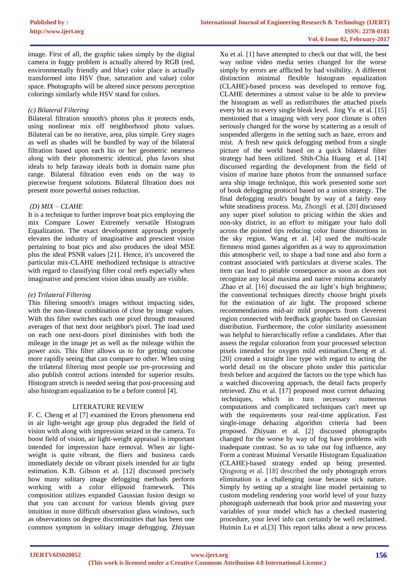image. First of all, the graphic taken simply by the digital camera in foggy problem is actually altered by RGB (red, environmentally friendly and blue) color place is actually transformed into HSV (hue, saturation and value) color space. Photographs will be altered since persons perception colorings similarly while HSV stand for colors.

## *(c) Bilateral Filtering*

Bilateral filtration smooth's photos plus it protects ends, using nonlinear mix off neighborhood photo values. Bilateral can be no iterative, area, plus simple. Grey stages as well as shades will be bundled by way of the bilateral filtration based upon each his or her geometric nearness along with their photometric identical, plus favors shut ideals to help faraway ideals both in domain name plus range. Bilateral filtration even ends on the way to piecewise frequent solutions. Bilateral filtration does not present more powerful noises reduction.

## *(D) MIX – CLAHE*

It is a technique to further improve boat pics employing the mix Compare Lower Extremely versatile Histogram Equalization. The exact development approach properly elevates the industry of imaginative and prescient vision pertaining to boat pics and also produces the ideal MSE plus the ideal PSNR values [21]. Hence, it's uncovered the particular mix-CLAHE methodized technique is attractive with regard to classifying filter coral reefs especially when imaginative and prescient vision ideas usually are visible.

## *(e) Trilateral Filtering*

This filtering smooth's images without impacting sides, with the non-linear combination of close by image values. With this filter switches each one pixel through measured averages of that next door neighbor's pixel. The load used on each one next-doors pixel diminishes with both the mileage in the image jet as well as the mileage within the power axis. This filter allows us to for getting outcome more rapidly seeing that can compare to other. When using the trilateral filtering most people use pre-processing and also publish control actions intended for superior results. Histogram stretch is needed seeing that post-processing and also histogram equalization to be a before control [4].

# LITERATURE REVIEW

F. C. Cheng et al [7] examined the Errors phenomena end in air light-weight age group plus degraded the field of vision with along with impression seized in the camera. To boost field of vision, air light-weight appraisal is important intended for impression haze removal. When air lightweight is quite vibrant, the fliers and business cards immediately decide on vibrant pixels intended for air light estimation. K.B. Gibson et al. [12] discussed precisely how many solitary image defogging methods perform working with a color ellipsoid framework. This composition utilizes expanded Gaussian fusion design so that you can account for various blends giving pure intuition in more difficult observation glass windows, such as observations on degree discontinuities that has been one common symptom in solitary image defogging. Zhiyuan

Xu et al. [1] have attempted to check out that will, the best way online video media series changed for the worse simply by errors are afflicted by bad visibility. A different distinction minimal flexible histogram equalization (CLAHE)-based process was developed to remove fog. CLAHE determines a utmost value to be able to preview the histogram as well as redistributes the attached pixels every bit as to every single bleak level. Jing Yu et al. [15] mentioned that a imaging with very poor climate is often seriously changed for the worse by scattering as a result of suspended allergens in the setting such as haze, errors and mist. A fresh new quick defogging method from a single picture of the world based on a quick bilateral filter strategy had been utilized. Shih-Chia Huang et al. [14] discussed regarding the development from the field of vision of marine haze photos from the unmanned surface area ship image technique, this work presented some sort of book defogging protocol based on a union strategy. The final defogging result's bought by way of a fairly easy white steadiness process. Ma, Zhongli et al. [20] discussed any super pixel solution to pricing within the skies and non-sky district, in an effort to mitigate your halo doll across the pointed tips reducing color frame distortions in the sky region. Wang et al. [4] used the multi-scale firmness mind games algorithm as a way to approximation this atmospheric veil, to shape a bad tone and also form a contrast associated with particulars at diverse scales. The item can lead to pitiable consequence as soon as does not recognize any local maxima and native minima accurately .Zhao et al. [16] discussed the air light's high brightness; the conventional techniques directly choose bright pixels for the estimation of air light. The proposed scheme recommendations mid-air mild prospects from cleverest region connected with feedback graphic based on Gaussian distribution. Furthermore, the color similarity assessment was helpful to hierarchically refine a candidates. After that assess the regular coloration from your processed selection pixels intended for oxygen mild estimation.Cheng et al. [20] created a straight line type with regard to acting the world detail on the obscure photo under this particular fresh before and acquired the factors on the type which has a watched discovering approach, the detail facts properly retrieved. Zhu et al. [17] proposed most current dehazing techniques, which in turn necessary numerous computations and complicated techniques can't meet up with the requirements your real-time application. Fast single-image dehazing algorithm criteria had been proposed. Zhiyuan et al. [2] discussed photographs changed for the worse by way of fog have problems with inadequate contrast. So as to take out fog influence, any Form a contrast Minimal Versatile Histogram Equalization (CLAHE)-based strategy ended up being presented. Qingsong et al. [18] described the only photograph errors elimination is a challenging issue because sick nature. Simply by setting up a straight line model pertaining to custom modeling rendering your world level of your fuzzy photograph underneath that book prior and mastering your variables of your model which has a checked mastering procedure, your level info can certainly be well reclaimed. Huimin Lu et al.[3] This report talks about a new process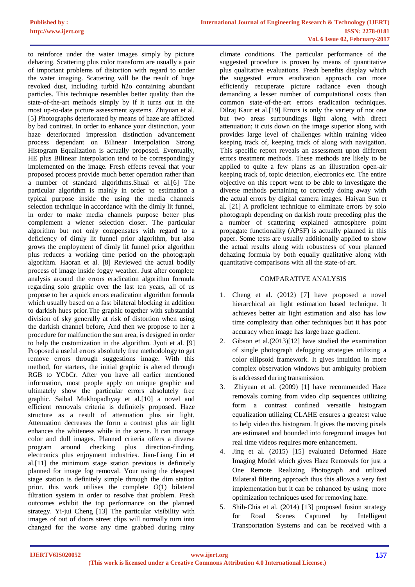to reinforce under the water images simply by picture dehazing. Scattering plus color transform are usually a pair of important problems of distortion with regard to under the water imaging. Scattering will be the result of huge revoked dust, including turbid h2o containing abundant particles. This technique resembles better quality than the state-of-the-art methods simply by if it turns out in the most up-to-date picture assessment systems. Zhiyuan et al. [5] Photographs deteriorated by means of haze are afflicted by bad contrast. In order to enhance your distinction, your haze deteriorated impression distinction advancement process dependant on Bilinear Interpolation Strong Histogram Equalization is actually proposed. Eventually, HE plus Bilinear Interpolation tend to be correspondingly implemented on the image. Fresh effects reveal that your proposed process provide much better operation rather than a number of standard algorithms.Shuai et al.[6] The particular algorithm is mainly in order to estimation a typical purpose inside the using the media channels selection technique in accordance with the dimly lit funnel, in order to make media channels purpose better plus complement a wiener selection closer. The particular algorithm but not only compensates with regard to a deficiency of dimly lit funnel prior algorithm, but also grows the employment of dimly lit funnel prior algorithm plus reduces a working time period on the photograph algorithm. Haoran et al. [8] Reviewed the actual bodily process of image inside foggy weather. Just after complete analysis around the errors eradication algorithm formula regarding solo graphic over the last ten years, all of us propose to her a quick errors eradication algorithm formula which usually based on a fast bilateral blocking in addition to darkish hues prior.The graphic together with substantial division of sky generally at risk of distortion when using the darkish channel before, And then we propose to her a procedure for malfunction the sun area, is designed in order to help the customization in the algorithm. Jyoti et al. [9] Proposed a useful errors absolutely free methodology to get remove errors through suggestions image. With this method, for starters, the initial graphic is altered through RGB to YCbCr. After you have all earlier mentioned information, most people apply on unique graphic and ultimately show the particular errors absolutely free graphic. Saibal Mukhopadhyay et al.[10] a novel and efficient removals criteria is definitely proposed. Haze structure as a result of attenuation plus air light. Attenuation decreases the form a contrast plus air light enhances the whiteness while in the scene. It can manage color and dull images. Planned criteria offers a diverse program around checking plus direction-finding, electronics plus enjoyment industries. Jian-Liang Lin et al.[11] the minimum stage station previous is definitely planned for image fog removal. Your using the cheapest stage station is definitely simple through the dim station prior. this work utilises the complete  $O(1)$  bilateral filtration system in order to resolve that problem. Fresh outcomes exhibit the top performance on the planned strategy. Yi-jui Cheng [13] The particular visibility with images of out of doors street clips will normally turn into changed for the worse any time grabbed during rainy

climate conditions. The particular performance of the suggested procedure is proven by means of quantitative plus qualitative evaluations. Fresh benefits display which the suggested errors eradication approach can more efficiently recuperate picture radiance even though demanding a lesser number of computational costs than common state-of-the-art errors eradication techniques. Dilraj Kaur et al.[19] Errors is only the variety of not one but two areas surroundings light along with direct attenuation; it cuts down on the image superior along with provides large level of challenges within training video keeping track of, keeping track of along with navigation. This specific report reveals an assessment upon different errors treatment methods. These methods are likely to be applied to quite a few plans as an illustration open-air keeping track of, topic detection, electronics etc. The entire objective on this report went to be able to investigate the diverse methods pertaining to correctly doing away with the actual errors by digital camera images. Haiyan Sun et al. [21] A proficient technique to eliminate errors by solo photograph depending on darkish route preceding plus the a number of scattering explained atmosphere point propagate functionality (APSF) is actually planned in this paper. Some tests are usually additionally applied to show the actual results along with robustness of your planned dehazing formula by both equally qualitative along with quantitative comparisons with all the state-of-art.

# COMPARATIVE ANALYSIS

- 1. Cheng et al. (2012) [7] have proposed a novel hierarchical air light estimation based technique. It achieves better air light estimation and also has low time complexity than other techniques but it has poor accuracy when image has large haze gradient.
- 2. Gibson et al.(2013)[12] have studied the examination of single photograph defogging strategies utilizing a color ellipsoid framework. It gives intuition in more complex observation windows but ambiguity problem is addressed during transmission.
- 3. Zhiyuan et al. (2009) [1] have recommended Haze removals coming from video clip sequences utilizing form a contrast confined versatile histogram equalization utilizing CLAHE ensures a greatest value to help video this histogram. It gives the moving pixels are estimated and bounded into foreground images but real time videos requires more enhancement.
- 4. Jing et al. (2015) [15] evaluated Deformed Haze Imaging Model which gives Haze Removals for just a One Remote Realizing Photograph and utilized Bilateral filtering approach thus this allows a very fast implementation but it can be enhanced by using more optimization techniques used for removing haze.
- 5. Shih-Chia et al. (2014) [13] proposed fusion strategy for Road Scenes Captured by Intelligent Transportation Systems and can be received with a